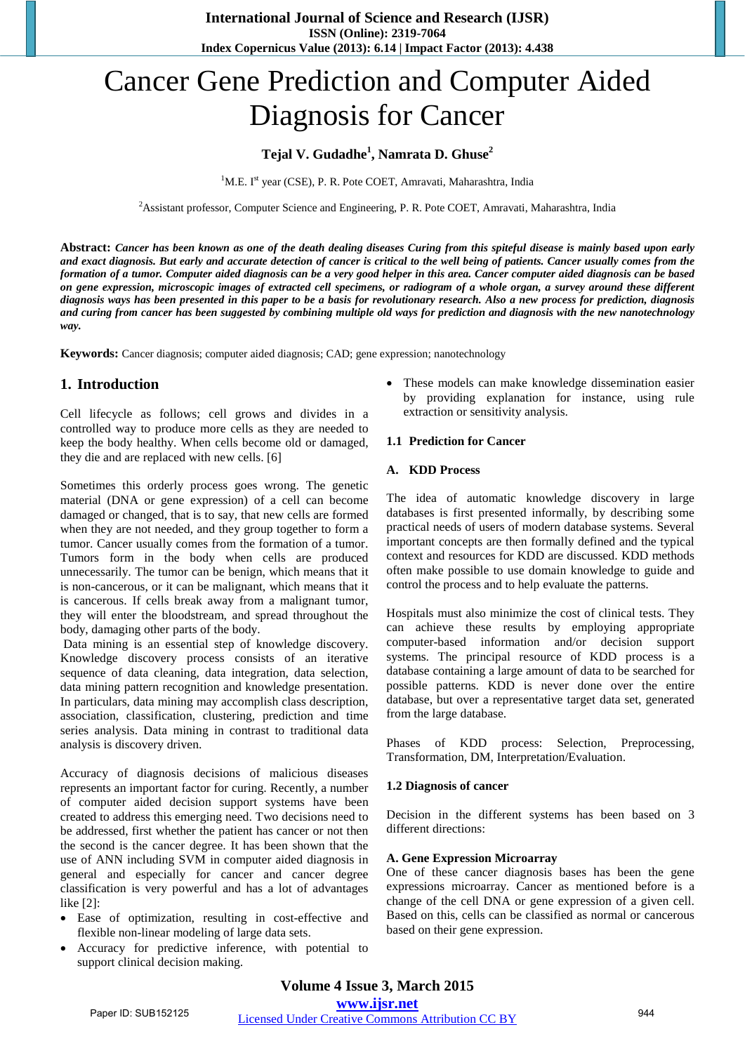# Cancer Gene Prediction and Computer Aided Diagnosis for Cancer

### **Tejal V. Gudadhe<sup>1</sup> , Namrata D. Ghuse<sup>2</sup>**

<sup>1</sup>M.E. I<sup>st</sup> year (CSE), P. R. Pote COET, Amravati, Maharashtra, India

<sup>2</sup>Assistant professor, Computer Science and Engineering, P. R. Pote COET, Amravati, Maharashtra, India

**Abstract:** *Cancer has been known as one of the death dealing diseases Curing from this spiteful disease is mainly based upon early and exact diagnosis. But early and accurate detection of cancer is critical to the well being of patients. Cancer usually comes from the formation of a tumor. Computer aided diagnosis can be a very good helper in this area. Cancer computer aided diagnosis can be based on gene expression, microscopic images of extracted cell specimens, or radiogram of a whole organ, a survey around these different diagnosis ways has been presented in this paper to be a basis for revolutionary research. Also a new process for prediction, diagnosis and curing from cancer has been suggested by combining multiple old ways for prediction and diagnosis with the new nanotechnology way.*

**Keywords:** Cancer diagnosis; computer aided diagnosis; CAD; gene expression; nanotechnology

### **1. Introduction**

Cell lifecycle as follows; cell grows and divides in a controlled way to produce more cells as they are needed to keep the body healthy. When cells become old or damaged, they die and are replaced with new cells. [6]

Sometimes this orderly process goes wrong. The genetic material (DNA or gene expression) of a cell can become damaged or changed, that is to say, that new cells are formed when they are not needed, and they group together to form a tumor. Cancer usually comes from the formation of a tumor. Tumors form in the body when cells are produced unnecessarily. The tumor can be benign, which means that it is non-cancerous, or it can be malignant, which means that it is cancerous. If cells break away from a malignant tumor, they will enter the bloodstream, and spread throughout the body, damaging other parts of the body.

 Data mining is an essential step of knowledge discovery. Knowledge discovery process consists of an iterative sequence of data cleaning, data integration, data selection, data mining pattern recognition and knowledge presentation. In particulars, data mining may accomplish class description, association, classification, clustering, prediction and time series analysis. Data mining in contrast to traditional data analysis is discovery driven.

Accuracy of diagnosis decisions of malicious diseases represents an important factor for curing. Recently, a number of computer aided decision support systems have been created to address this emerging need. Two decisions need to be addressed, first whether the patient has cancer or not then the second is the cancer degree. It has been shown that the use of ANN including SVM in computer aided diagnosis in general and especially for cancer and cancer degree classification is very powerful and has a lot of advantages like [2]:

- Ease of optimization, resulting in cost-effective and flexible non-linear modeling of large data sets.
- Accuracy for predictive inference, with potential to support clinical decision making.

 These models can make knowledge dissemination easier by providing explanation for instance, using rule extraction or sensitivity analysis.

#### **1.1 Prediction for Cancer**

#### **A. KDD Process**

The idea of automatic knowledge discovery in large databases is first presented informally, by describing some practical needs of users of modern database systems. Several important concepts are then formally defined and the typical context and resources for KDD are discussed. KDD methods often make possible to use domain knowledge to guide and control the process and to help evaluate the patterns.

Hospitals must also minimize the cost of clinical tests. They can achieve these results by employing appropriate computer-based information and/or decision support systems. The principal resource of KDD process is a database containing a large amount of data to be searched for possible patterns. KDD is never done over the entire database, but over a representative target data set, generated from the large database.

Phases of KDD process: Selection, Preprocessing, Transformation, DM, Interpretation/Evaluation.

#### **1.2 Diagnosis of cancer**

Decision in the different systems has been based on 3 different directions:

#### **A. Gene Expression Microarray**

One of these cancer diagnosis bases has been the gene expressions microarray. Cancer as mentioned before is a change of the cell DNA or gene expression of a given cell. Based on this, cells can be classified as normal or cancerous based on their gene expression.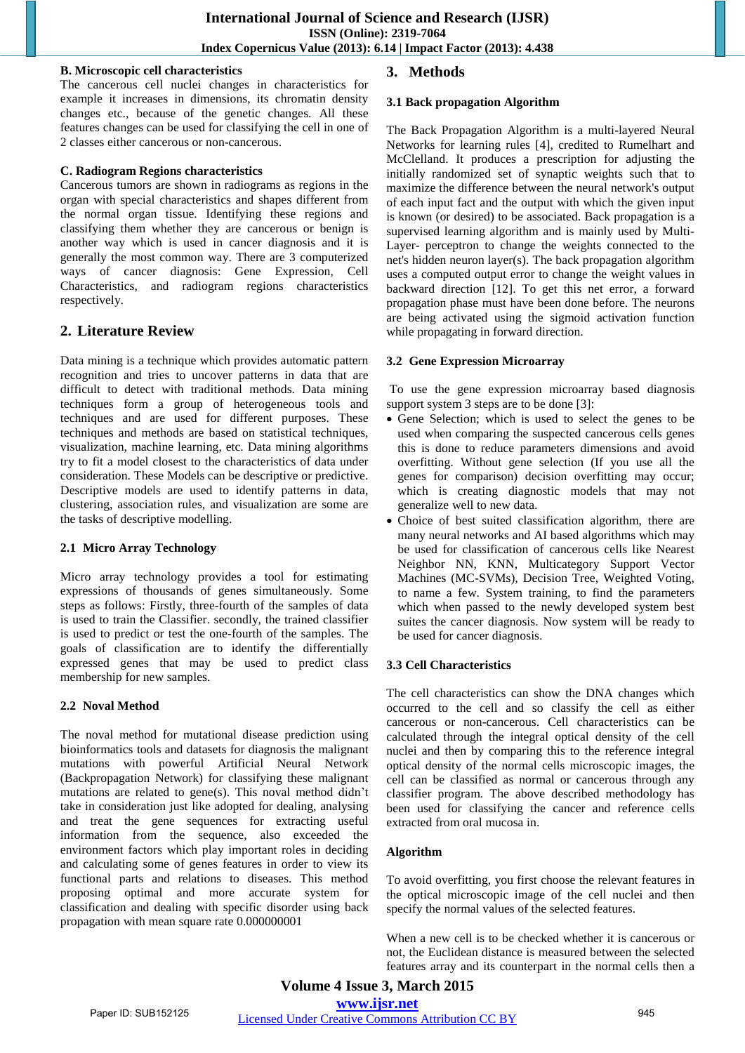### **B. Microscopic cell characteristics**

The cancerous cell nuclei changes in characteristics for example it increases in dimensions, its chromatin density changes etc., because of the genetic changes. All these features changes can be used for classifying the cell in one of 2 classes either cancerous or non-cancerous.

# **C. Radiogram Regions characteristics**

Cancerous tumors are shown in radiograms as regions in the organ with special characteristics and shapes different from the normal organ tissue. Identifying these regions and classifying them whether they are cancerous or benign is another way which is used in cancer diagnosis and it is generally the most common way. There are 3 computerized ways of cancer diagnosis: Gene Expression, Cell Characteristics, and radiogram regions characteristics respectively.

# **2. Literature Review**

Data mining is a technique which provides automatic pattern recognition and tries to uncover patterns in data that are difficult to detect with traditional methods. Data mining techniques form a group of heterogeneous tools and techniques and are used for different purposes. These techniques and methods are based on statistical techniques, visualization, machine learning, etc. Data mining algorithms try to fit a model closest to the characteristics of data under consideration. These Models can be descriptive or predictive. Descriptive models are used to identify patterns in data, clustering, association rules, and visualization are some are the tasks of descriptive modelling.

# **2.1 Micro Array Technology**

Micro array technology provides a tool for estimating expressions of thousands of genes simultaneously. Some steps as follows: Firstly, three-fourth of the samples of data is used to train the Classifier. secondly, the trained classifier is used to predict or test the one-fourth of the samples. The goals of classification are to identify the differentially expressed genes that may be used to predict class membership for new samples.

# **2.2 Noval Method**

The noval method for mutational disease prediction using bioinformatics tools and datasets for diagnosis the malignant mutations with powerful Artificial Neural Network (Backpropagation Network) for classifying these malignant mutations are related to gene(s). This noval method didn't take in consideration just like adopted for dealing, analysing and treat the gene sequences for extracting useful information from the sequence, also exceeded the environment factors which play important roles in deciding and calculating some of genes features in order to view its functional parts and relations to diseases. This method proposing optimal and more accurate system for classification and dealing with specific disorder using back propagation with mean square rate 0.000000001

# **3. Methods**

# **3.1 Back propagation Algorithm**

The Back Propagation Algorithm is a multi-layered Neural Networks for learning rules [4], credited to Rumelhart and McClelland. It produces a prescription for adjusting the initially randomized set of synaptic weights such that to maximize the difference between the neural network's output of each input fact and the output with which the given input is known (or desired) to be associated. Back propagation is a supervised learning algorithm and is mainly used by Multi-Layer- perceptron to change the weights connected to the net's hidden neuron layer(s). The back propagation algorithm uses a computed output error to change the weight values in backward direction [12]. To get this net error, a forward propagation phase must have been done before. The neurons are being activated using the sigmoid activation function while propagating in forward direction.

# **3.2 Gene Expression Microarray**

To use the gene expression microarray based diagnosis support system 3 steps are to be done [3]:

- Gene Selection; which is used to select the genes to be used when comparing the suspected cancerous cells genes this is done to reduce parameters dimensions and avoid overfitting. Without gene selection (If you use all the genes for comparison) decision overfitting may occur; which is creating diagnostic models that may not generalize well to new data.
- Choice of best suited classification algorithm, there are many neural networks and AI based algorithms which may be used for classification of cancerous cells like Nearest Neighbor NN, KNN, Multicategory Support Vector Machines (MC-SVMs), Decision Tree, Weighted Voting, to name a few. System training, to find the parameters which when passed to the newly developed system best suites the cancer diagnosis. Now system will be ready to be used for cancer diagnosis.

# **3.3 Cell Characteristics**

The cell characteristics can show the DNA changes which occurred to the cell and so classify the cell as either cancerous or non-cancerous. Cell characteristics can be calculated through the integral optical density of the cell nuclei and then by comparing this to the reference integral optical density of the normal cells microscopic images, the cell can be classified as normal or cancerous through any classifier program. The above described methodology has been used for classifying the cancer and reference cells extracted from oral mucosa in.

# **Algorithm**

To avoid overfitting, you first choose the relevant features in the optical microscopic image of the cell nuclei and then specify the normal values of the selected features.

When a new cell is to be checked whether it is cancerous or not, the Euclidean distance is measured between the selected features array and its counterpart in the normal cells then a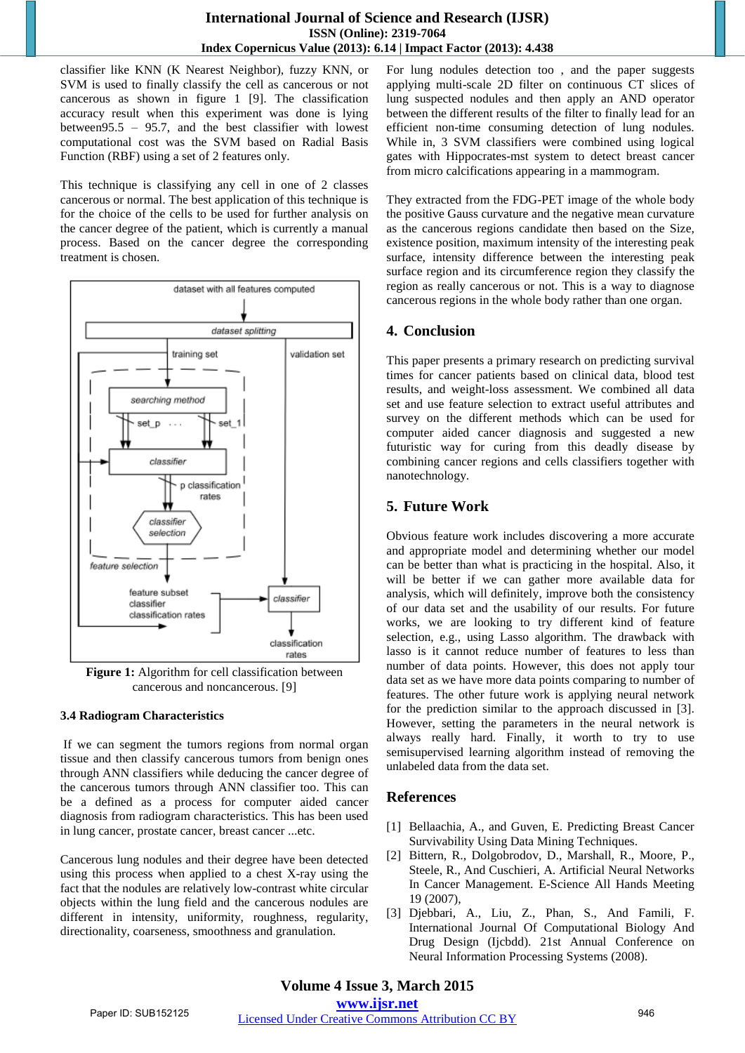classifier like KNN (K Nearest Neighbor), fuzzy KNN, or SVM is used to finally classify the cell as cancerous or not cancerous as shown in figure 1 [9]. The classification accuracy result when this experiment was done is lying between95.5 – 95.7, and the best classifier with lowest computational cost was the SVM based on Radial Basis Function (RBF) using a set of 2 features only.

This technique is classifying any cell in one of 2 classes cancerous or normal. The best application of this technique is for the choice of the cells to be used for further analysis on the cancer degree of the patient, which is currently a manual process. Based on the cancer degree the corresponding treatment is chosen.



**Figure 1:** Algorithm for cell classification between cancerous and noncancerous. [9]

### **3.4 Radiogram Characteristics**

If we can segment the tumors regions from normal organ tissue and then classify cancerous tumors from benign ones through ANN classifiers while deducing the cancer degree of the cancerous tumors through ANN classifier too. This can be a defined as a process for computer aided cancer diagnosis from radiogram characteristics. This has been used in lung cancer, prostate cancer, breast cancer ...etc.

Cancerous lung nodules and their degree have been detected using this process when applied to a chest X-ray using the fact that the nodules are relatively low-contrast white circular objects within the lung field and the cancerous nodules are different in intensity, uniformity, roughness, regularity, directionality, coarseness, smoothness and granulation.

For lung nodules detection too , and the paper suggests applying multi-scale 2D filter on continuous CT slices of lung suspected nodules and then apply an AND operator between the different results of the filter to finally lead for an efficient non-time consuming detection of lung nodules. While in, 3 SVM classifiers were combined using logical gates with Hippocrates-mst system to detect breast cancer from micro calcifications appearing in a mammogram.

They extracted from the FDG-PET image of the whole body the positive Gauss curvature and the negative mean curvature as the cancerous regions candidate then based on the Size, existence position, maximum intensity of the interesting peak surface, intensity difference between the interesting peak surface region and its circumference region they classify the region as really cancerous or not. This is a way to diagnose cancerous regions in the whole body rather than one organ.

# **4. Conclusion**

This paper presents a primary research on predicting survival times for cancer patients based on clinical data, blood test results, and weight-loss assessment. We combined all data set and use feature selection to extract useful attributes and survey on the different methods which can be used for computer aided cancer diagnosis and suggested a new futuristic way for curing from this deadly disease by combining cancer regions and cells classifiers together with nanotechnology.

# **5. Future Work**

Obvious feature work includes discovering a more accurate and appropriate model and determining whether our model can be better than what is practicing in the hospital. Also, it will be better if we can gather more available data for analysis, which will definitely, improve both the consistency of our data set and the usability of our results. For future works, we are looking to try different kind of feature selection, e.g., using Lasso algorithm. The drawback with lasso is it cannot reduce number of features to less than number of data points. However, this does not apply tour data set as we have more data points comparing to number of features. The other future work is applying neural network for the prediction similar to the approach discussed in [3]. However, setting the parameters in the neural network is always really hard. Finally, it worth to try to use semisupervised learning algorithm instead of removing the unlabeled data from the data set.

### **References**

- [1] Bellaachia, A., and Guven, E. Predicting Breast Cancer Survivability Using Data Mining Techniques.
- [2] Bittern, R., Dolgobrodov, D., Marshall, R., Moore, P., Steele, R., And Cuschieri, A. Artificial Neural Networks In Cancer Management. E-Science All Hands Meeting 19 (2007),
- [3] Djebbari, A., Liu, Z., Phan, S., And Famili, F. International Journal Of Computational Biology And Drug Design (Ijcbdd). 21st Annual Conference on Neural Information Processing Systems (2008).